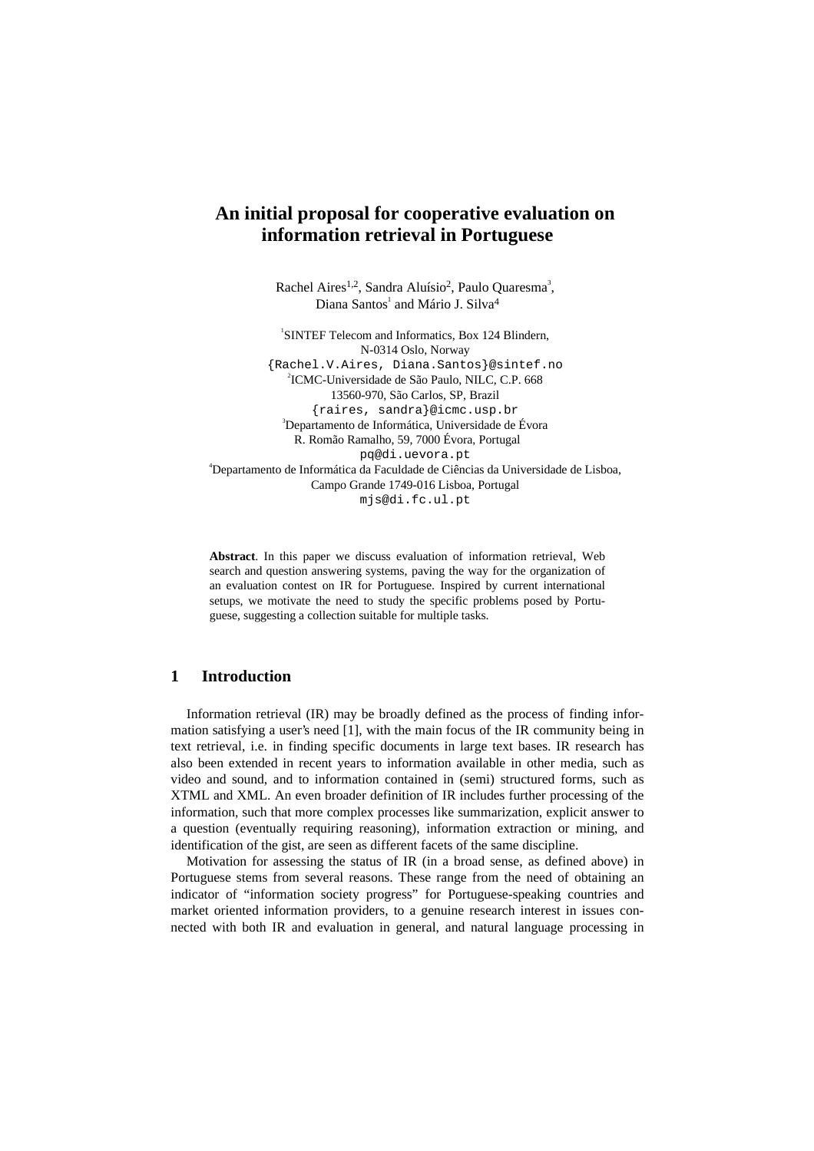# **An initial proposal for cooperative evaluation on information retrieval in Portuguese**

Rachel Aires<sup>1,2</sup>, Sandra Aluísio<sup>2</sup>, Paulo Quaresma<sup>3</sup>, Diana Santos<sup>1</sup> and Mário J. Silva<sup>4</sup>

1 SINTEF Telecom and Informatics, Box 124 Blindern, N-0314 Oslo, Norway {Rachel.V.Aires, Diana.Santos}@sintef.no 2 ICMC-Universidade de São Paulo, NILC, C.P. 668 13560-970, São Carlos, SP, Brazil {raires, sandra}@icmc.usp.br <sup>3</sup>Departamento de Informática, Universidade de Évora R. Romão Ramalho, 59, 7000 Évora, Portugal pq@di.uevora.pt <sup>4</sup>Departamento de Informática da Faculdade de Ciências da Universidade de Lisboa, Campo Grande 1749-016 Lisboa, Portugal mjs@di.fc.ul.pt

**Abstract**. In this paper we discuss evaluation of information retrieval, Web search and question answering systems, paving the way for the organization of an evaluation contest on IR for Portuguese. Inspired by current international setups, we motivate the need to study the specific problems posed by Portuguese, suggesting a collection suitable for multiple tasks.

## **1 Introduction**

Information retrieval (IR) may be broadly defined as the process of finding information satisfying a user's need [1], with the main focus of the IR community being in text retrieval, i.e. in finding specific documents in large text bases. IR research has also been extended in recent years to information available in other media, such as video and sound, and to information contained in (semi) structured forms, such as XTML and XML. An even broader definition of IR includes further processing of the information, such that more complex processes like summarization, explicit answer to a question (eventually requiring reasoning), information extraction or mining, and identification of the gist, are seen as different facets of the same discipline.

Motivation for assessing the status of IR (in a broad sense, as defined above) in Portuguese stems from several reasons. These range from the need of obtaining an indicator of "information society progress" for Portuguese-speaking countries and market oriented information providers, to a genuine research interest in issues connected with both IR and evaluation in general, and natural language processing in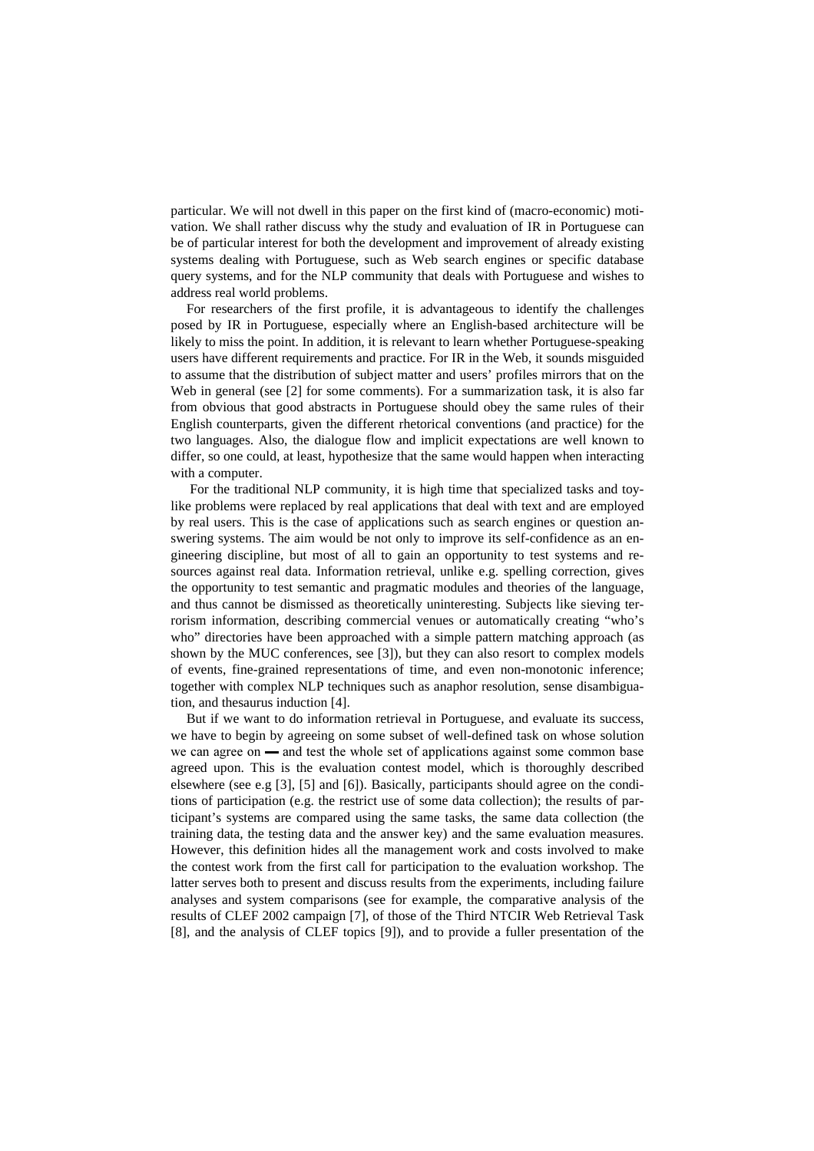particular. We will not dwell in this paper on the first kind of (macro-economic) motivation. We shall rather discuss why the study and evaluation of IR in Portuguese can be of particular interest for both the development and improvement of already existing systems dealing with Portuguese, such as Web search engines or specific database query systems, and for the NLP community that deals with Portuguese and wishes to address real world problems.

For researchers of the first profile, it is advantageous to identify the challenges posed by IR in Portuguese, especially where an English-based architecture will be likely to miss the point. In addition, it is relevant to learn whether Portuguese-speaking users have different requirements and practice. For IR in the Web, it sounds misguided to assume that the distribution of subject matter and users' profiles mirrors that on the Web in general (see [2] for some comments). For a summarization task, it is also far from obvious that good abstracts in Portuguese should obey the same rules of their English counterparts, given the different rhetorical conventions (and practice) for the two languages. Also, the dialogue flow and implicit expectations are well known to differ, so one could, at least, hypothesize that the same would happen when interacting with a computer.

For the traditional NLP community, it is high time that specialized tasks and toylike problems were replaced by real applications that deal with text and are employed by real users. This is the case of applications such as search engines or question answering systems. The aim would be not only to improve its self-confidence as an engineering discipline, but most of all to gain an opportunity to test systems and resources against real data. Information retrieval, unlike e.g. spelling correction, gives the opportunity to test semantic and pragmatic modules and theories of the language, and thus cannot be dismissed as theoretically uninteresting. Subjects like sieving terrorism information, describing commercial venues or automatically creating "who's who" directories have been approached with a simple pattern matching approach (as shown by the MUC conferences, see [3]), but they can also resort to complex models of events, fine-grained representations of time, and even non-monotonic inference; together with complex NLP techniques such as anaphor resolution, sense disambiguation, and thesaurus induction [4].

But if we want to do information retrieval in Portuguese, and evaluate its success, we have to begin by agreeing on some subset of well-defined task on whose solution we can agree on — and test the whole set of applications against some common base agreed upon. This is the evaluation contest model, which is thoroughly described elsewhere (see e.g [3], [5] and [6]). Basically, participants should agree on the conditions of participation (e.g. the restrict use of some data collection); the results of participant's systems are compared using the same tasks, the same data collection (the training data, the testing data and the answer key) and the same evaluation measures. However, this definition hides all the management work and costs involved to make the contest work from the first call for participation to the evaluation workshop. The latter serves both to present and discuss results from the experiments, including failure analyses and system comparisons (see for example, the comparative analysis of the results of CLEF 2002 campaign [7], of those of the Third NTCIR Web Retrieval Task [8], and the analysis of CLEF topics [9]), and to provide a fuller presentation of the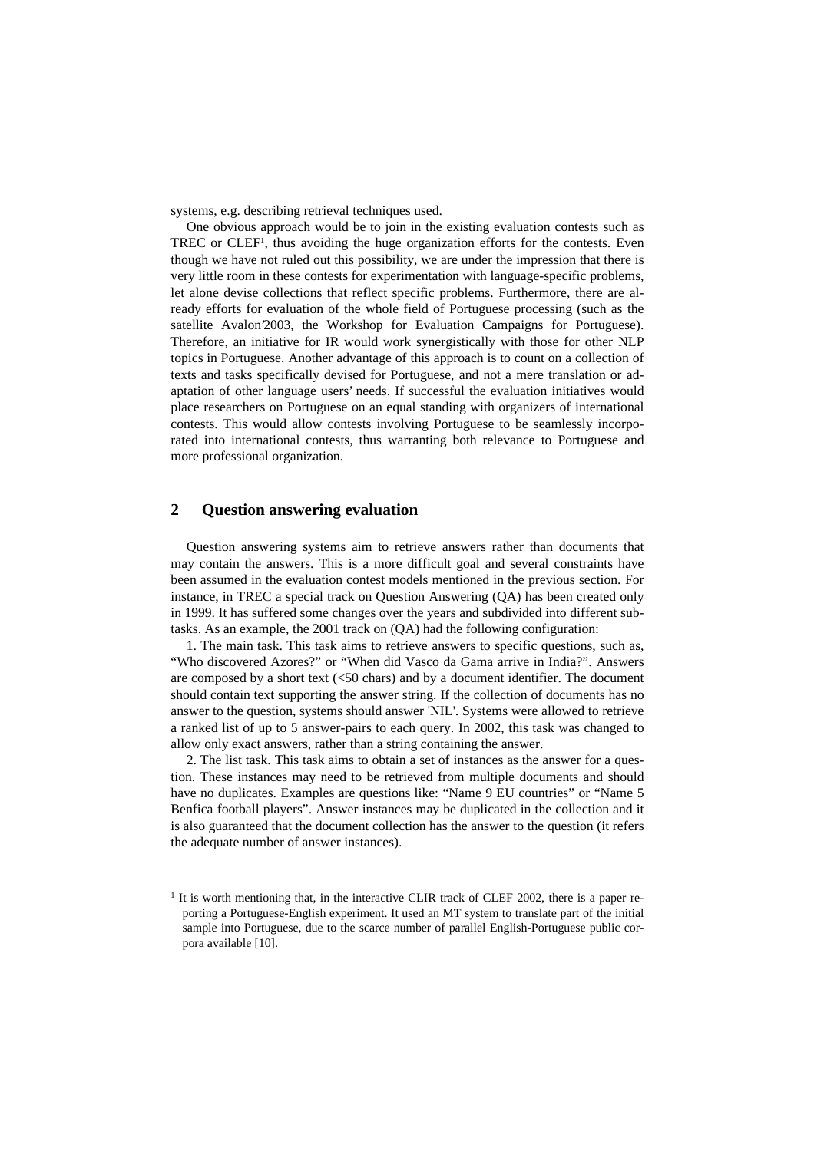systems, e.g. describing retrieval techniques used.

One obvious approach would be to join in the existing evaluation contests such as TREC or CLEF 1 , thus avoiding the huge organization efforts for the contests. Even though we have not ruled out this possibility, we are under the impression that there is very little room in these contests for experimentation with language-specific problems, let alone devise collections that reflect specific problems. Furthermore, there are already efforts for evaluation of the whole field of Portuguese processing (such as the satellite Avalon'2003, the Workshop for Evaluation Campaigns for Portuguese). Therefore, an initiative for IR would work synergistically with those for other NLP topics in Portuguese. Another advantage of this approach is to count on a collection of texts and tasks specifically devised for Portuguese, and not a mere translation or adaptation of other language users' needs. If successful the evaluation initiatives would place researchers on Portuguese on an equal standing with organizers of international contests. This would allow contests involving Portuguese to be seamlessly incorporated into international contests, thus warranting both relevance to Portuguese and more professional organization.

## **2 Question answering evaluation**

 $\overline{a}$ 

Question answering systems aim to retrieve answers rather than documents that may contain the answers. This is a more difficult goal and several constraints have been assumed in the evaluation contest models mentioned in the previous section. For instance, in TREC a special track on Question Answering (QA) has been created only in 1999. It has suffered some changes over the years and subdivided into different subtasks. As an example, the 2001 track on (QA) had the following configuration:

1. The main task. This task aims to retrieve answers to specific questions, such as, "Who discovered Azores?" or "When did Vasco da Gama arrive in India?". Answers are composed by a short text  $(<50 \text{ chars})$  and by a document identifier. The document should contain text supporting the answer string. If the collection of documents has no answer to the question, systems should answer 'NIL'. Systems were allowed to retrieve a ranked list of up to 5 answer-pairs to each query. In 2002, this task was changed to allow only exact answers, rather than a string containing the answer.

2. The list task. This task aims to obtain a set of instances as the answer for a question. These instances may need to be retrieved from multiple documents and should have no duplicates. Examples are questions like: "Name 9 EU countries" or "Name 5 Benfica football players". Answer instances may be duplicated in the collection and it is also guaranteed that the document collection has the answer to the question (it refers the adequate number of answer instances).

<sup>&</sup>lt;sup>1</sup> It is worth mentioning that, in the interactive CLIR track of CLEF 2002, there is a paper reporting a Portuguese-English experiment. It used an MT system to translate part of the initial sample into Portuguese, due to the scarce number of parallel English-Portuguese public corpora available [10].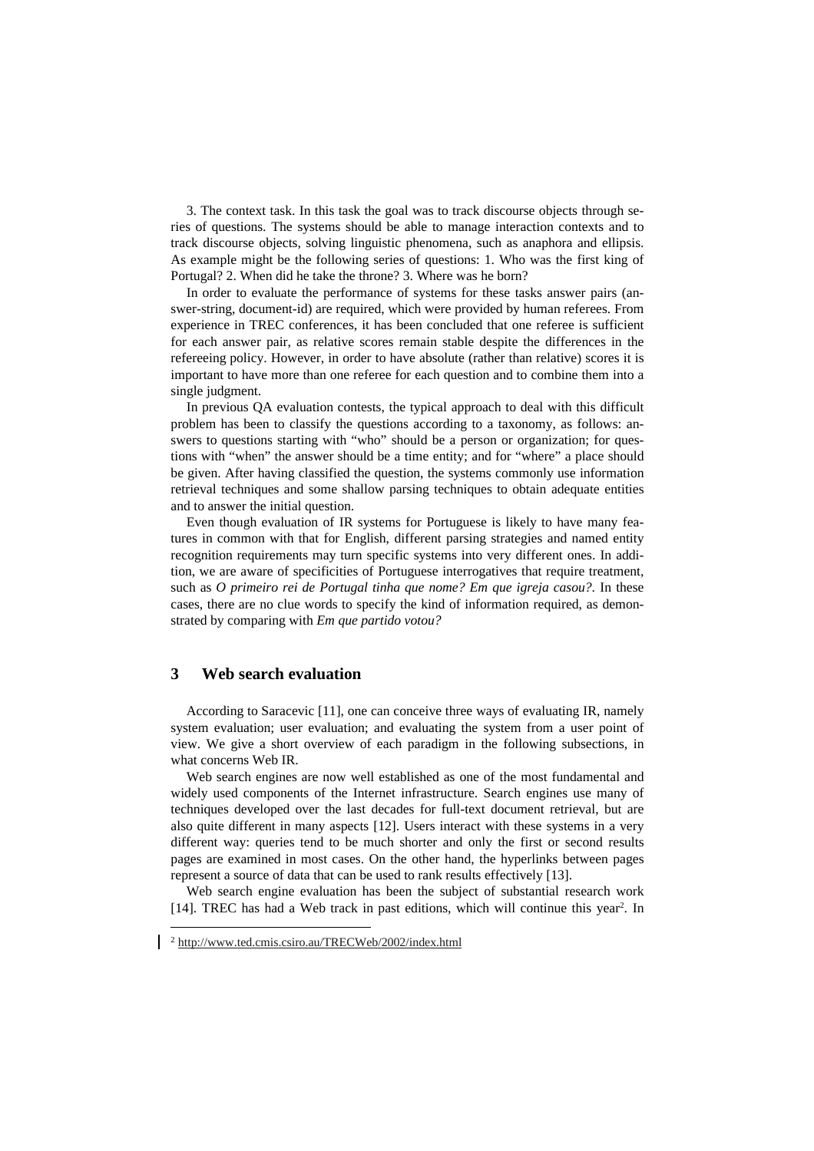3. The context task. In this task the goal was to track discourse objects through series of questions. The systems should be able to manage interaction contexts and to track discourse objects, solving linguistic phenomena, such as anaphora and ellipsis. As example might be the following series of questions: 1. Who was the first king of Portugal? 2. When did he take the throne? 3. Where was he born?

In order to evaluate the performance of systems for these tasks answer pairs (answer-string, document-id) are required, which were provided by human referees. From experience in TREC conferences, it has been concluded that one referee is sufficient for each answer pair, as relative scores remain stable despite the differences in the refereeing policy. However, in order to have absolute (rather than relative) scores it is important to have more than one referee for each question and to combine them into a single judgment.

In previous QA evaluation contests, the typical approach to deal with this difficult problem has been to classify the questions according to a taxonomy, as follows: answers to questions starting with "who" should be a person or organization; for questions with "when" the answer should be a time entity; and for "where" a place should be given. After having classified the question, the systems commonly use information retrieval techniques and some shallow parsing techniques to obtain adequate entities and to answer the initial question.

Even though evaluation of IR systems for Portuguese is likely to have many features in common with that for English, different parsing strategies and named entity recognition requirements may turn specific systems into very different ones. In addition, we are aware of specificities of Portuguese interrogatives that require treatment, such as *O primeiro rei de Portugal tinha que nome? Em que igreja casou?*. In these cases, there are no clue words to specify the kind of information required, as demonstrated by comparing with *Em que partido votou?*

### **3 Web search evaluation**

 $\overline{a}$ 

According to Saracevic [11], one can conceive three ways of evaluating IR, namely system evaluation; user evaluation; and evaluating the system from a user point of view. We give a short overview of each paradigm in the following subsections, in what concerns Web IR.

Web search engines are now well established as one of the most fundamental and widely used components of the Internet infrastructure. Search engines use many of techniques developed over the last decades for full-text document retrieval, but are also quite different in many aspects [12]. Users interact with these systems in a very different way: queries tend to be much shorter and only the first or second results pages are examined in most cases. On the other hand, the hyperlinks between pages represent a source of data that can be used to rank results effectively [13].

Web search engine evaluation has been the subject of substantial research work [14]. TREC has had a Web track in past editions, which will continue this year<sup>2</sup>. In

<sup>2</sup> http://www.ted.cmis.csiro.au/TRECWeb/2002/index.html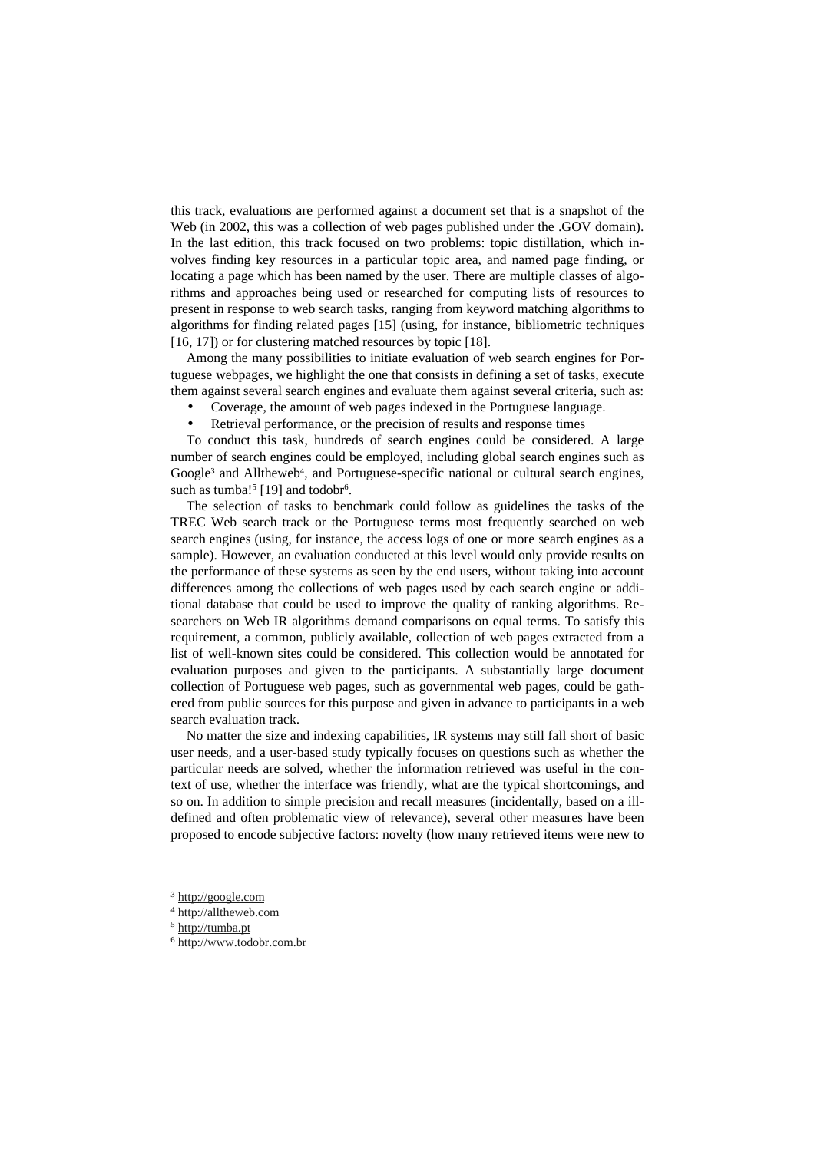this track, evaluations are performed against a document set that is a snapshot of the Web (in 2002, this was a collection of web pages published under the .GOV domain). In the last edition, this track focused on two problems: topic distillation, which involves finding key resources in a particular topic area, and named page finding, or locating a page which has been named by the user. There are multiple classes of algorithms and approaches being used or researched for computing lists of resources to present in response to web search tasks, ranging from keyword matching algorithms to algorithms for finding related pages [15] (using, for instance, bibliometric techniques [16, 17]) or for clustering matched resources by topic [18].

Among the many possibilities to initiate evaluation of web search engines for Portuguese webpages, we highlight the one that consists in defining a set of tasks, execute them against several search engines and evaluate them against several criteria, such as:

- Coverage, the amount of web pages indexed in the Portuguese language.
- Retrieval performance, or the precision of results and response times

To conduct this task, hundreds of search engines could be considered. A large number of search engines could be employed, including global search engines such as Google<sup>3</sup> and Alltheweb<sup>4</sup>, and Portuguese-specific national or cultural search engines, such as tumba!<sup>5</sup> [19] and todobr<sup>6</sup>.

The selection of tasks to benchmark could follow as guidelines the tasks of the TREC Web search track or the Portuguese terms most frequently searched on web search engines (using, for instance, the access logs of one or more search engines as a sample). However, an evaluation conducted at this level would only provide results on the performance of these systems as seen by the end users, without taking into account differences among the collections of web pages used by each search engine or additional database that could be used to improve the quality of ranking algorithms. Researchers on Web IR algorithms demand comparisons on equal terms. To satisfy this requirement, a common, publicly available, collection of web pages extracted from a list of well-known sites could be considered. This collection would be annotated for evaluation purposes and given to the participants. A substantially large document collection of Portuguese web pages, such as governmental web pages, could be gathered from public sources for this purpose and given in advance to participants in a web search evaluation track.

No matter the size and indexing capabilities, IR systems may still fall short of basic user needs, and a user-based study typically focuses on questions such as whether the particular needs are solved, whether the information retrieved was useful in the context of use, whether the interface was friendly, what are the typical shortcomings, and so on. In addition to simple precision and recall measures (incidentally, based on a illdefined and often problematic view of relevance), several other measures have been proposed to encode subjective factors: novelty (how many retrieved items were new to

 $\overline{a}$ 

<sup>3</sup> http://google.com

<sup>4</sup> http://alltheweb.com

<sup>5</sup> http://tumba.pt

<sup>6</sup> http://www.todobr.com.br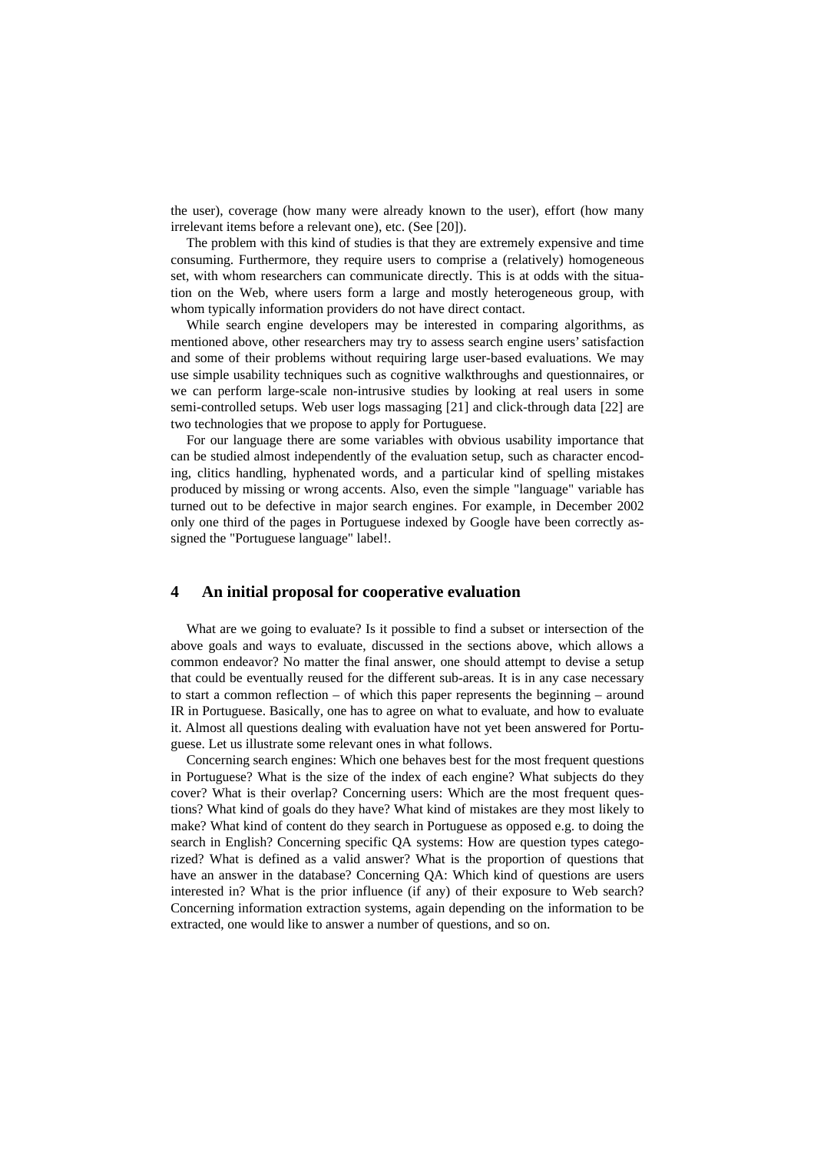the user), coverage (how many were already known to the user), effort (how many irrelevant items before a relevant one), etc. (See [20]).

The problem with this kind of studies is that they are extremely expensive and time consuming. Furthermore, they require users to comprise a (relatively) homogeneous set, with whom researchers can communicate directly. This is at odds with the situation on the Web, where users form a large and mostly heterogeneous group, with whom typically information providers do not have direct contact.

While search engine developers may be interested in comparing algorithms, as mentioned above, other researchers may try to assess search engine users'satisfaction and some of their problems without requiring large user-based evaluations. We may use simple usability techniques such as cognitive walkthroughs and questionnaires, or we can perform large-scale non-intrusive studies by looking at real users in some semi-controlled setups. Web user logs massaging [21] and click-through data [22] are two technologies that we propose to apply for Portuguese.

For our language there are some variables with obvious usability importance that can be studied almost independently of the evaluation setup, such as character encoding, clitics handling, hyphenated words, and a particular kind of spelling mistakes produced by missing or wrong accents. Also, even the simple "language" variable has turned out to be defective in major search engines. For example, in December 2002 only one third of the pages in Portuguese indexed by Google have been correctly assigned the "Portuguese language" label!.

## **4 An initial proposal for cooperative evaluation**

What are we going to evaluate? Is it possible to find a subset or intersection of the above goals and ways to evaluate, discussed in the sections above, which allows a common endeavor? No matter the final answer, one should attempt to devise a setup that could be eventually reused for the different sub-areas. It is in any case necessary to start a common reflection – of which this paper represents the beginning – around IR in Portuguese. Basically, one has to agree on what to evaluate, and how to evaluate it. Almost all questions dealing with evaluation have not yet been answered for Portuguese. Let us illustrate some relevant ones in what follows.

Concerning search engines: Which one behaves best for the most frequent questions in Portuguese? What is the size of the index of each engine? What subjects do they cover? What is their overlap? Concerning users: Which are the most frequent questions? What kind of goals do they have? What kind of mistakes are they most likely to make? What kind of content do they search in Portuguese as opposed e.g. to doing the search in English? Concerning specific QA systems: How are question types categorized? What is defined as a valid answer? What is the proportion of questions that have an answer in the database? Concerning QA: Which kind of questions are users interested in? What is the prior influence (if any) of their exposure to Web search? Concerning information extraction systems, again depending on the information to be extracted, one would like to answer a number of questions, and so on.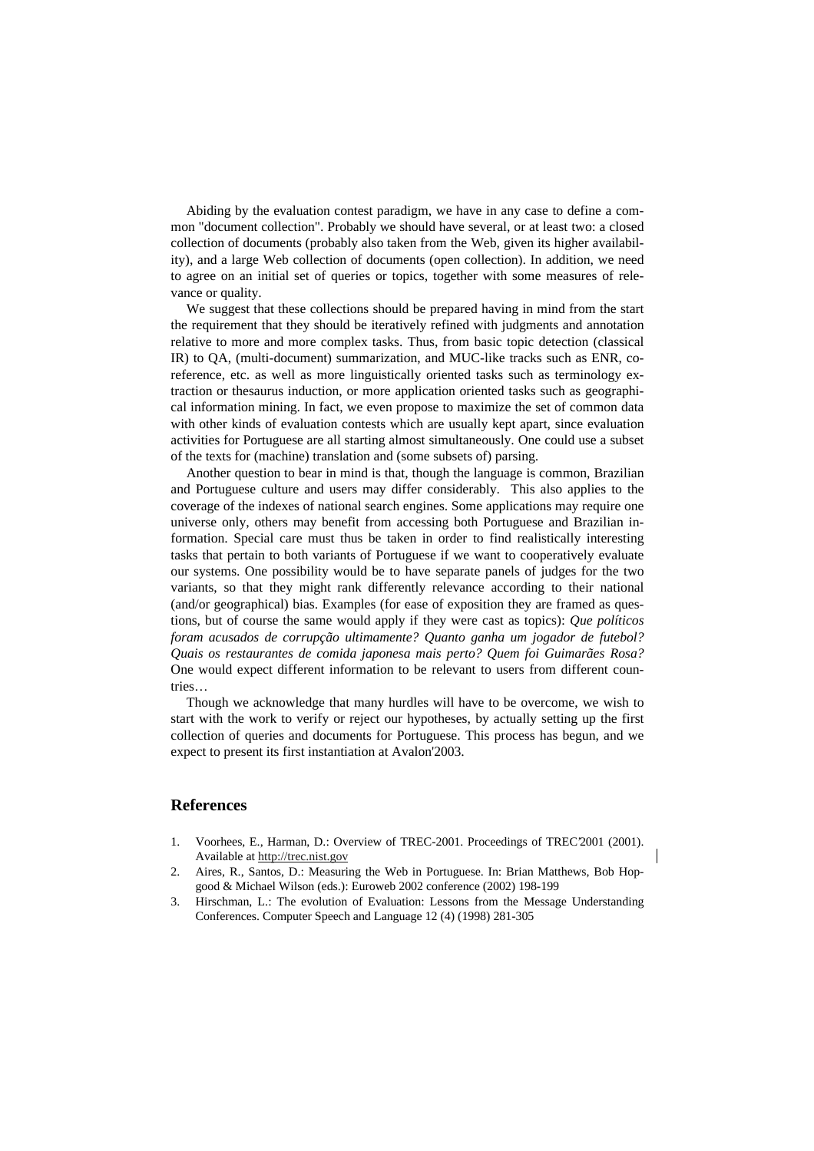Abiding by the evaluation contest paradigm, we have in any case to define a common "document collection". Probably we should have several, or at least two: a closed collection of documents (probably also taken from the Web, given its higher availability), and a large Web collection of documents (open collection). In addition, we need to agree on an initial set of queries or topics, together with some measures of relevance or quality.

We suggest that these collections should be prepared having in mind from the start the requirement that they should be iteratively refined with judgments and annotation relative to more and more complex tasks. Thus, from basic topic detection (classical IR) to QA, (multi-document) summarization, and MUC-like tracks such as ENR, coreference, etc. as well as more linguistically oriented tasks such as terminology extraction or thesaurus induction, or more application oriented tasks such as geographical information mining. In fact, we even propose to maximize the set of common data with other kinds of evaluation contests which are usually kept apart, since evaluation activities for Portuguese are all starting almost simultaneously. One could use a subset of the texts for (machine) translation and (some subsets of) parsing.

Another question to bear in mind is that, though the language is common, Brazilian and Portuguese culture and users may differ considerably. This also applies to the coverage of the indexes of national search engines. Some applications may require one universe only, others may benefit from accessing both Portuguese and Brazilian information. Special care must thus be taken in order to find realistically interesting tasks that pertain to both variants of Portuguese if we want to cooperatively evaluate our systems. One possibility would be to have separate panels of judges for the two variants, so that they might rank differently relevance according to their national (and/or geographical) bias. Examples (for ease of exposition they are framed as questions, but of course the same would apply if they were cast as topics): *Que políticos foram acusados de corrupção ultimamente? Quanto ganha um jogador de futebol? Quais os restaurantes de comida japonesa mais perto? Quem foi Guimarães Rosa?* One would expect different information to be relevant to users from different countries…

Though we acknowledge that many hurdles will have to be overcome, we wish to start with the work to verify or reject our hypotheses, by actually setting up the first collection of queries and documents for Portuguese. This process has begun, and we expect to present its first instantiation at Avalon'2003.

#### **References**

- 1. Voorhees, E., Harman, D.: Overview of TREC-2001. Proceedings of TREC'2001 (2001). Available at http://trec.nist.gov
- 2. Aires, R., Santos, D.: Measuring the Web in Portuguese. In: Brian Matthews, Bob Hopgood & Michael Wilson (eds.): Euroweb 2002 conference (2002) 198-199
- 3. Hirschman, L.: The evolution of Evaluation: Lessons from the Message Understanding Conferences. Computer Speech and Language 12 (4) (1998) 281-305